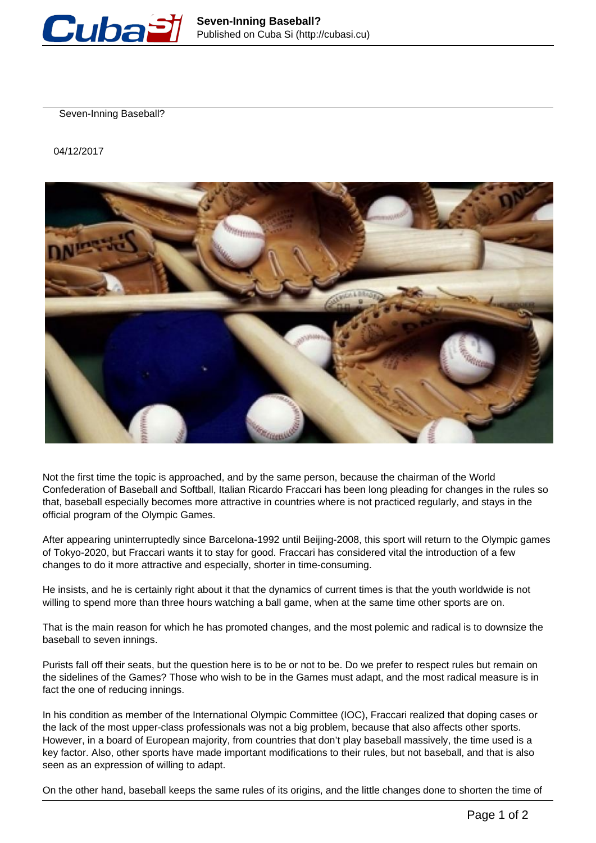

Seven-Inning Baseball?

04/12/2017



Not the first time the topic is approached, and by the same person, because the chairman of the World Confederation of Baseball and Softball, Italian Ricardo Fraccari has been long pleading for changes in the rules so that, baseball especially becomes more attractive in countries where is not practiced regularly, and stays in the official program of the Olympic Games.

After appearing uninterruptedly since Barcelona-1992 until Beijing-2008, this sport will return to the Olympic games of Tokyo-2020, but Fraccari wants it to stay for good. Fraccari has considered vital the introduction of a few changes to do it more attractive and especially, shorter in time-consuming.

He insists, and he is certainly right about it that the dynamics of current times is that the youth worldwide is not willing to spend more than three hours watching a ball game, when at the same time other sports are on.

That is the main reason for which he has promoted changes, and the most polemic and radical is to downsize the baseball to seven innings.

Purists fall off their seats, but the question here is to be or not to be. Do we prefer to respect rules but remain on the sidelines of the Games? Those who wish to be in the Games must adapt, and the most radical measure is in fact the one of reducing innings.

In his condition as member of the International Olympic Committee (IOC), Fraccari realized that doping cases or the lack of the most upper-class professionals was not a big problem, because that also affects other sports. However, in a board of European majority, from countries that don't play baseball massively, the time used is a key factor. Also, other sports have made important modifications to their rules, but not baseball, and that is also seen as an expression of willing to adapt.

On the other hand, baseball keeps the same rules of its origins, and the little changes done to shorten the time of